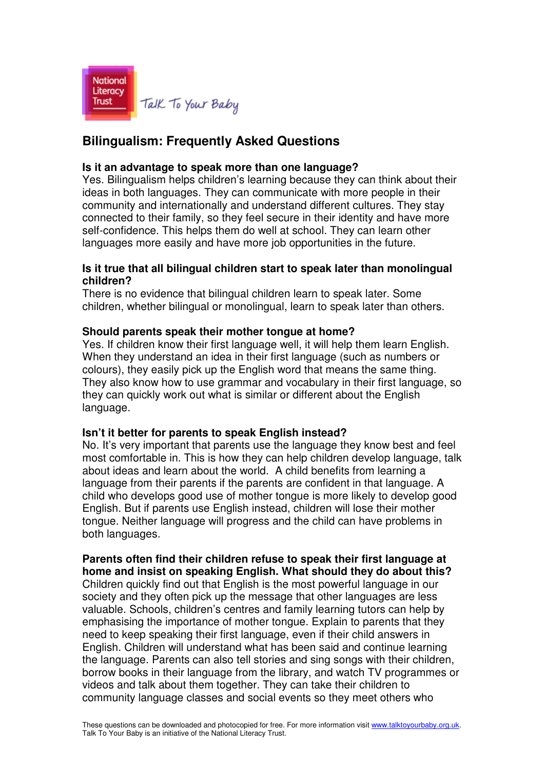

# **Bilingualism: Frequently Asked Questions**

#### **Is it an advantage to speak more than one language?**

Yes. Bilingualism helps children's learning because they can think about their ideas in both languages. They can communicate with more people in their community and internationally and understand different cultures. They stay connected to their family, so they feel secure in their identity and have more self-confidence. This helps them do well at school. They can learn other languages more easily and have more job opportunities in the future.

### **Is it true that all bilingual children start to speak later than monolingual children?**

There is no evidence that bilingual children learn to speak later. Some children, whether bilingual or monolingual, learn to speak later than others.

## **Should parents speak their mother tongue at home?**

Yes. If children know their first language well, it will help them learn English. When they understand an idea in their first language (such as numbers or colours), they easily pick up the English word that means the same thing. They also know how to use grammar and vocabulary in their first language, so they can quickly work out what is similar or different about the English language.

#### **Isn't it better for parents to speak English instead?**

No. It's very important that parents use the language they know best and feel most comfortable in. This is how they can help children develop language, talk about ideas and learn about the world. A child benefits from learning a language from their parents if the parents are confident in that language. A child who develops good use of mother tongue is more likely to develop good English. But if parents use English instead, children will lose their mother tongue. Neither language will progress and the child can have problems in both languages.

## **Parents often find their children refuse to speak their first language at home and insist on speaking English. What should they do about this?**

Children quickly find out that English is the most powerful language in our society and they often pick up the message that other languages are less valuable. Schools, children's centres and family learning tutors can help by emphasising the importance of mother tongue. Explain to parents that they need to keep speaking their first language, even if their child answers in English. Children will understand what has been said and continue learning the language. Parents can also tell stories and sing songs with their children, borrow books in their language from the library, and watch TV programmes or videos and talk about them together. They can take their children to community language classes and social events so they meet others who